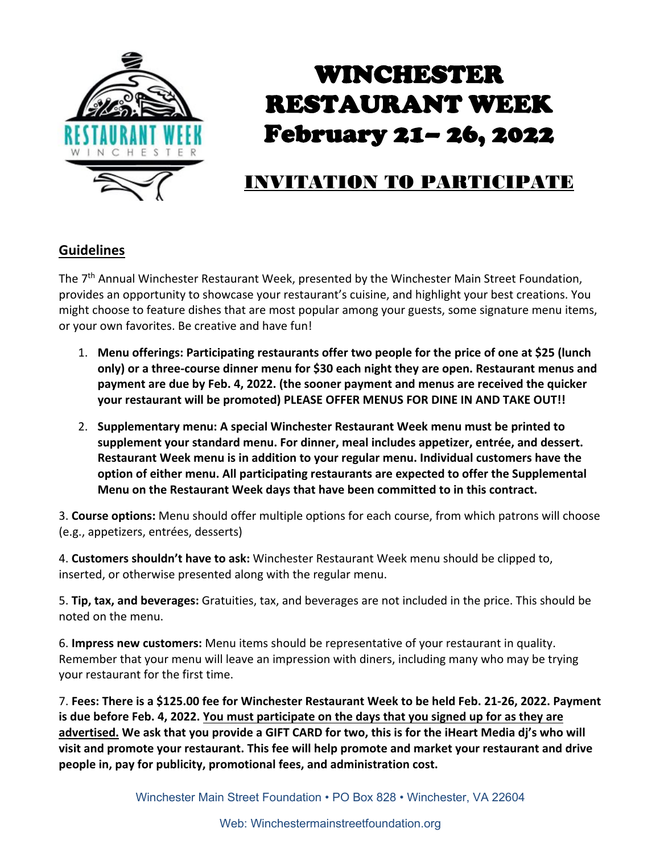

# WINCHESTER RESTAURANT WEEK February 21– 26, 2022

### INVITATION TO PARTICIPATE

#### **Guidelines**

The 7<sup>th</sup> Annual Winchester Restaurant Week, presented by the Winchester Main Street Foundation, provides an opportunity to showcase your restaurant's cuisine, and highlight your best creations. You might choose to feature dishes that are most popular among your guests, some signature menu items, or your own favorites. Be creative and have fun!

- 1. **Menu offerings: Participating restaurants offer two people for the price of one at \$25 (lunch only) or a three-course dinner menu for \$30 each night they are open. Restaurant menus and payment are due by Feb. 4, 2022. (the sooner payment and menus are received the quicker your restaurant will be promoted) PLEASE OFFER MENUS FOR DINE IN AND TAKE OUT!!**
- 2. **Supplementary menu: A special Winchester Restaurant Week menu must be printed to supplement your standard menu. For dinner, meal includes appetizer, entrée, and dessert. Restaurant Week menu is in addition to your regular menu. Individual customers have the option of either menu. All participating restaurants are expected to offer the Supplemental Menu on the Restaurant Week days that have been committed to in this contract.**

3. **Course options:** Menu should offer multiple options for each course, from which patrons will choose (e.g., appetizers, entrées, desserts)

4. **Customers shouldn't have to ask:** Winchester Restaurant Week menu should be clipped to, inserted, or otherwise presented along with the regular menu.

5. **Tip, tax, and beverages:** Gratuities, tax, and beverages are not included in the price. This should be noted on the menu.

6. **Impress new customers:** Menu items should be representative of your restaurant in quality. Remember that your menu will leave an impression with diners, including many who may be trying your restaurant for the first time.

7. **Fees: There is a \$125.00 fee for Winchester Restaurant Week to be held Feb. 21-26, 2022. Payment is due before Feb. 4, 2022. You must participate on the days that you signed up for as they are advertised. We ask that you provide a GIFT CARD for two, this is for the iHeart Media dj's who will visit and promote your restaurant. This fee will help promote and market your restaurant and drive people in, pay for publicity, promotional fees, and administration cost.**

Winchester Main Street Foundation • PO Box 828 • Winchester, VA 22604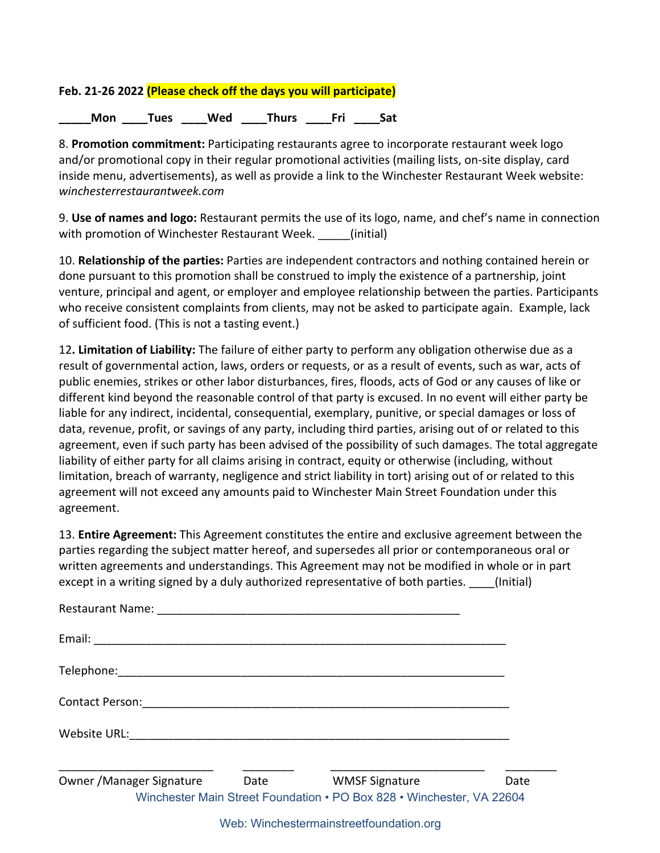#### **Feb. 21-26 2022 (Please check off the days you will participate)**

Mon Tues Wed Thurs Fri Sat

8. **Promotion commitment:** Participating restaurants agree to incorporate restaurant week logo and/or promotional copy in their regular promotional activities (mailing lists, on-site display, card inside menu, advertisements), as well as provide a link to the Winchester Restaurant Week website: *winchesterrestaurantweek.com* 

9. **Use of names and logo:** Restaurant permits the use of its logo, name, and chef's name in connection with promotion of Winchester Restaurant Week. \_\_\_\_\_(initial)

10. **Relationship of the parties:** Parties are independent contractors and nothing contained herein or done pursuant to this promotion shall be construed to imply the existence of a partnership, joint venture, principal and agent, or employer and employee relationship between the parties. Participants who receive consistent complaints from clients, may not be asked to participate again. Example, lack of sufficient food. (This is not a tasting event.)

12**. Limitation of Liability:** The failure of either party to perform any obligation otherwise due as a result of governmental action, laws, orders or requests, or as a result of events, such as war, acts of public enemies, strikes or other labor disturbances, fires, floods, acts of God or any causes of like or different kind beyond the reasonable control of that party is excused. In no event will either party be liable for any indirect, incidental, consequential, exemplary, punitive, or special damages or loss of data, revenue, profit, or savings of any party, including third parties, arising out of or related to this agreement, even if such party has been advised of the possibility of such damages. The total aggregate liability of either party for all claims arising in contract, equity or otherwise (including, without limitation, breach of warranty, negligence and strict liability in tort) arising out of or related to this agreement will not exceed any amounts paid to Winchester Main Street Foundation under this agreement.

13. **Entire Agreement:** This Agreement constitutes the entire and exclusive agreement between the parties regarding the subject matter hereof, and supersedes all prior or contemporaneous oral or written agreements and understandings. This Agreement may not be modified in whole or in part except in a writing signed by a duly authorized representative of both parties. (Initial)

| <b>Restaurant Name:</b>   |             |                                                                       |      |
|---------------------------|-------------|-----------------------------------------------------------------------|------|
|                           |             |                                                                       |      |
|                           |             |                                                                       |      |
| <b>Contact Person:</b>    |             |                                                                       |      |
| Website URL: Website URL: |             |                                                                       |      |
| Owner / Manager Signature | <b>Date</b> | <b>WMSF Signature</b>                                                 | Date |
|                           |             | Winchester Main Street Foundation • PO Box 828 • Winchester, VA 22604 |      |